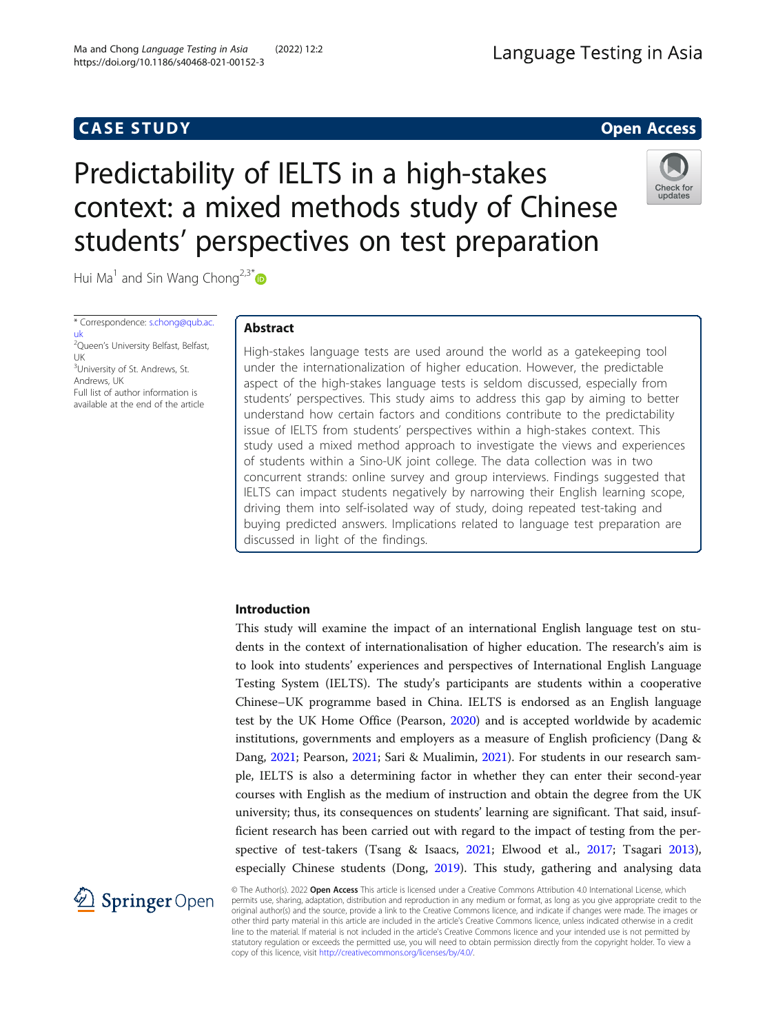## **CASE STUDY CASE STUDY Open Access**

# Language Testing in Asia

# Predictability of IELTS in a high-stakes context: a mixed methods study of Chinese students' perspectives on test preparation



Hui Ma<sup>1</sup> and Sin Wang Chong<sup>2,3\*</sup>

\* Correspondence: [s.chong@qub.ac.](mailto:s.chong@qub.ac.uk) [uk](mailto:s.chong@qub.ac.uk)<br><sup>2</sup>Queen's University Belfast, Belfast, UK <sup>3</sup>University of St. Andrews, St. Andrews, UK Full list of author information is available at the end of the article

#### Abstract

High-stakes language tests are used around the world as a gatekeeping tool under the internationalization of higher education. However, the predictable aspect of the high-stakes language tests is seldom discussed, especially from students' perspectives. This study aims to address this gap by aiming to better understand how certain factors and conditions contribute to the predictability issue of IELTS from students' perspectives within a high-stakes context. This study used a mixed method approach to investigate the views and experiences of students within a Sino-UK joint college. The data collection was in two concurrent strands: online survey and group interviews. Findings suggested that IELTS can impact students negatively by narrowing their English learning scope, driving them into self-isolated way of study, doing repeated test-taking and buying predicted answers. Implications related to language test preparation are discussed in light of the findings.

#### Introduction

This study will examine the impact of an international English language test on students in the context of internationalisation of higher education. The research's aim is to look into students' experiences and perspectives of International English Language Testing System (IELTS). The study's participants are students within a cooperative Chinese–UK programme based in China. IELTS is endorsed as an English language test by the UK Home Office (Pearson, [2020](#page-16-0)) and is accepted worldwide by academic institutions, governments and employers as a measure of English proficiency (Dang & Dang, [2021](#page-16-0); Pearson, [2021](#page-16-0); Sari & Mualimin, [2021\)](#page-16-0). For students in our research sample, IELTS is also a determining factor in whether they can enter their second-year courses with English as the medium of instruction and obtain the degree from the UK university; thus, its consequences on students' learning are significant. That said, insufficient research has been carried out with regard to the impact of testing from the perspective of test-takers (Tsang & Isaacs, [2021](#page-17-0); Elwood et al., [2017](#page-16-0); Tsagari [2013](#page-17-0)), especially Chinese students (Dong, [2019](#page-16-0)). This study, gathering and analysing data



© The Author(s). 2022 Open Access This article is licensed under a Creative Commons Attribution 4.0 International License, which permits use, sharing, adaptation, distribution and reproduction in any medium or format, as long as you give appropriate credit to the original author(s) and the source, provide a link to the Creative Commons licence, and indicate if changes were made. The images or other third party material in this article are included in the article's Creative Commons licence, unless indicated otherwise in a credit line to the material. If material is not included in the article's Creative Commons licence and your intended use is not permitted by statutory regulation or exceeds the permitted use, you will need to obtain permission directly from the copyright holder. To view a copy of this licence, visit <http://creativecommons.org/licenses/by/4.0/>.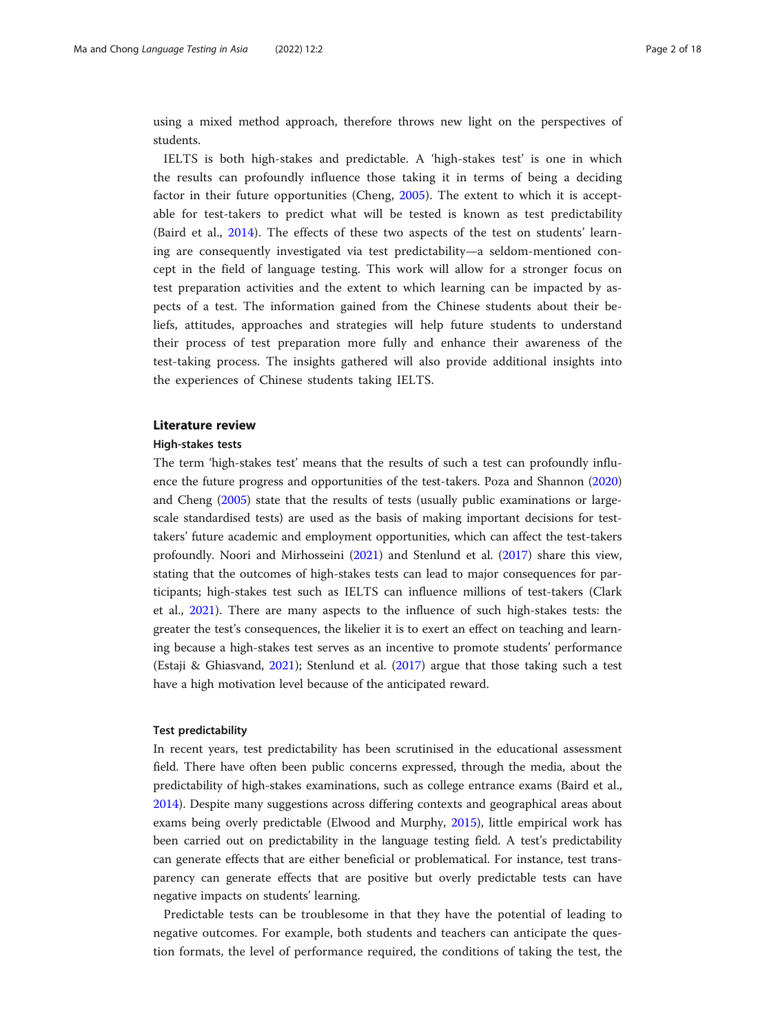using a mixed method approach, therefore throws new light on the perspectives of students.

IELTS is both high-stakes and predictable. A 'high-stakes test' is one in which the results can profoundly influence those taking it in terms of being a deciding factor in their future opportunities (Cheng, [2005\)](#page-16-0). The extent to which it is acceptable for test-takers to predict what will be tested is known as test predictability (Baird et al., [2014](#page-16-0)). The effects of these two aspects of the test on students' learning are consequently investigated via test predictability—a seldom-mentioned concept in the field of language testing. This work will allow for a stronger focus on test preparation activities and the extent to which learning can be impacted by aspects of a test. The information gained from the Chinese students about their beliefs, attitudes, approaches and strategies will help future students to understand their process of test preparation more fully and enhance their awareness of the test-taking process. The insights gathered will also provide additional insights into the experiences of Chinese students taking IELTS.

#### Literature review

#### High-stakes tests

The term 'high-stakes test' means that the results of such a test can profoundly influence the future progress and opportunities of the test-takers. Poza and Shannon ([2020](#page-16-0)) and Cheng ([2005](#page-16-0)) state that the results of tests (usually public examinations or largescale standardised tests) are used as the basis of making important decisions for testtakers' future academic and employment opportunities, which can affect the test-takers profoundly. Noori and Mirhosseini [\(2021\)](#page-16-0) and Stenlund et al. ([2017](#page-17-0)) share this view, stating that the outcomes of high-stakes tests can lead to major consequences for participants; high-stakes test such as IELTS can influence millions of test-takers (Clark et al., [2021](#page-16-0)). There are many aspects to the influence of such high-stakes tests: the greater the test's consequences, the likelier it is to exert an effect on teaching and learning because a high-stakes test serves as an incentive to promote students' performance (Estaji & Ghiasvand, [2021](#page-16-0)); Stenlund et al. ([2017](#page-17-0)) argue that those taking such a test have a high motivation level because of the anticipated reward.

#### Test predictability

In recent years, test predictability has been scrutinised in the educational assessment field. There have often been public concerns expressed, through the media, about the predictability of high-stakes examinations, such as college entrance exams (Baird et al., [2014](#page-16-0)). Despite many suggestions across differing contexts and geographical areas about exams being overly predictable (Elwood and Murphy, [2015](#page-16-0)), little empirical work has been carried out on predictability in the language testing field. A test's predictability can generate effects that are either beneficial or problematical. For instance, test transparency can generate effects that are positive but overly predictable tests can have negative impacts on students' learning.

Predictable tests can be troublesome in that they have the potential of leading to negative outcomes. For example, both students and teachers can anticipate the question formats, the level of performance required, the conditions of taking the test, the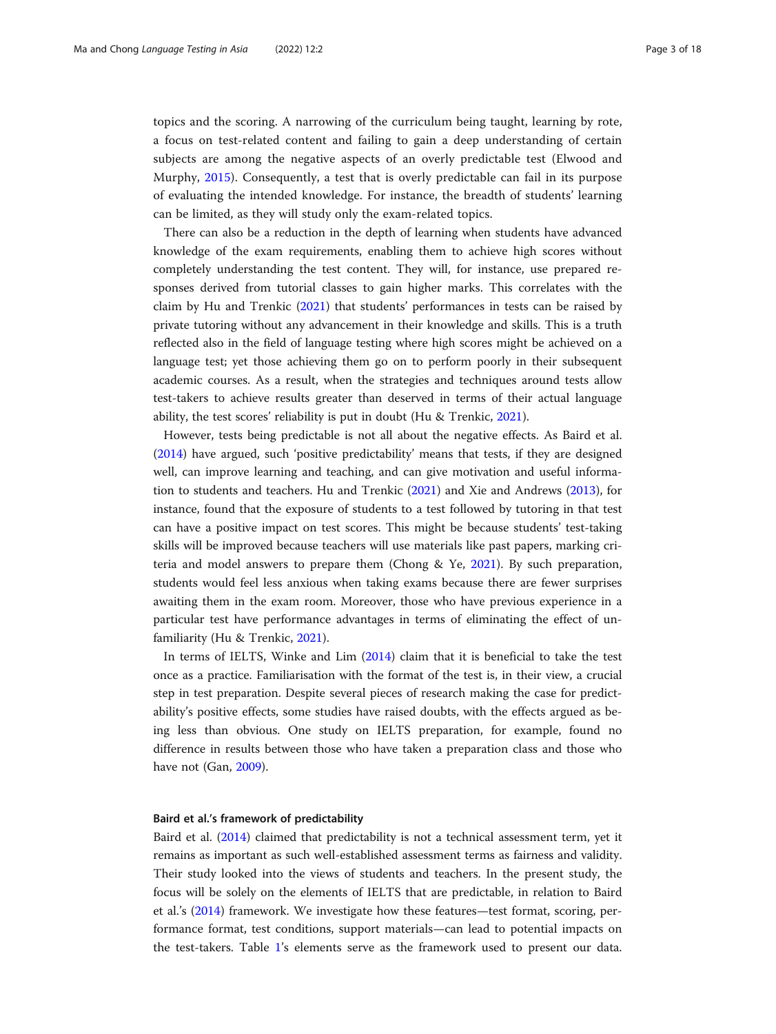topics and the scoring. A narrowing of the curriculum being taught, learning by rote, a focus on test-related content and failing to gain a deep understanding of certain subjects are among the negative aspects of an overly predictable test (Elwood and Murphy, [2015](#page-16-0)). Consequently, a test that is overly predictable can fail in its purpose of evaluating the intended knowledge. For instance, the breadth of students' learning can be limited, as they will study only the exam-related topics.

There can also be a reduction in the depth of learning when students have advanced knowledge of the exam requirements, enabling them to achieve high scores without completely understanding the test content. They will, for instance, use prepared responses derived from tutorial classes to gain higher marks. This correlates with the claim by Hu and Trenkic ([2021](#page-16-0)) that students' performances in tests can be raised by private tutoring without any advancement in their knowledge and skills. This is a truth reflected also in the field of language testing where high scores might be achieved on a language test; yet those achieving them go on to perform poorly in their subsequent academic courses. As a result, when the strategies and techniques around tests allow test-takers to achieve results greater than deserved in terms of their actual language ability, the test scores' reliability is put in doubt (Hu & Trenkic, [2021](#page-16-0)).

However, tests being predictable is not all about the negative effects. As Baird et al. ([2014](#page-16-0)) have argued, such 'positive predictability' means that tests, if they are designed well, can improve learning and teaching, and can give motivation and useful information to students and teachers. Hu and Trenkic ([2021](#page-16-0)) and Xie and Andrews ([2013](#page-17-0)), for instance, found that the exposure of students to a test followed by tutoring in that test can have a positive impact on test scores. This might be because students' test-taking skills will be improved because teachers will use materials like past papers, marking criteria and model answers to prepare them (Chong & Ye, [2021](#page-16-0)). By such preparation, students would feel less anxious when taking exams because there are fewer surprises awaiting them in the exam room. Moreover, those who have previous experience in a particular test have performance advantages in terms of eliminating the effect of unfamiliarity (Hu & Trenkic, [2021\)](#page-16-0).

In terms of IELTS, Winke and Lim ([2014](#page-17-0)) claim that it is beneficial to take the test once as a practice. Familiarisation with the format of the test is, in their view, a crucial step in test preparation. Despite several pieces of research making the case for predictability's positive effects, some studies have raised doubts, with the effects argued as being less than obvious. One study on IELTS preparation, for example, found no difference in results between those who have taken a preparation class and those who have not (Gan, [2009\)](#page-16-0).

#### Baird et al.'s framework of predictability

Baird et al. ([2014](#page-16-0)) claimed that predictability is not a technical assessment term, yet it remains as important as such well-established assessment terms as fairness and validity. Their study looked into the views of students and teachers. In the present study, the focus will be solely on the elements of IELTS that are predictable, in relation to Baird et al.'s ([2014](#page-16-0)) framework. We investigate how these features—test format, scoring, performance format, test conditions, support materials—can lead to potential impacts on the test-takers. Table [1](#page-3-0)'s elements serve as the framework used to present our data.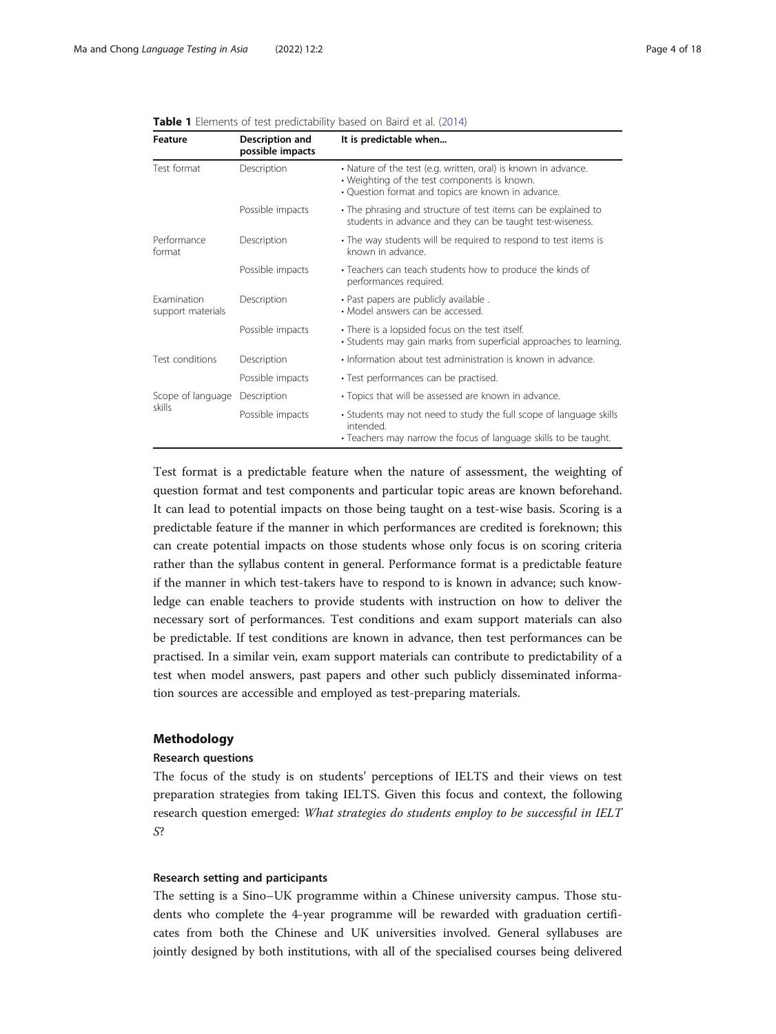| Feature                                 | Description and<br>possible impacts | It is predictable when                                                                                                                                               |  |
|-----------------------------------------|-------------------------------------|----------------------------------------------------------------------------------------------------------------------------------------------------------------------|--|
| Test format                             | Description                         | • Nature of the test (e.g. written, oral) is known in advance.<br>• Weighting of the test components is known.<br>• Question format and topics are known in advance. |  |
|                                         | Possible impacts                    | • The phrasing and structure of test items can be explained to<br>students in advance and they can be taught test-wiseness.                                          |  |
| Performance<br>format                   | Description                         | • The way students will be required to respond to test items is<br>known in advance.                                                                                 |  |
|                                         | Possible impacts                    | • Teachers can teach students how to produce the kinds of<br>performances required.                                                                                  |  |
| <b>Examination</b><br>support materials | Description                         | · Past papers are publicly available.<br>• Model answers can be accessed.                                                                                            |  |
|                                         | Possible impacts                    | • There is a lopsided focus on the test itself.<br>• Students may gain marks from superficial approaches to learning.                                                |  |
| Test conditions                         | Description                         | • Information about test administration is known in advance.                                                                                                         |  |
|                                         | Possible impacts                    | • Test performances can be practised.                                                                                                                                |  |
| Scope of language                       | Description                         | • Topics that will be assessed are known in advance.                                                                                                                 |  |
| skills                                  | Possible impacts                    | • Students may not need to study the full scope of language skills<br>intended.<br>• Teachers may narrow the focus of language skills to be taught.                  |  |

<span id="page-3-0"></span>

| <b>Table 1</b> Elements of test predictability based on Baird et al. (2014) |  |
|-----------------------------------------------------------------------------|--|
|-----------------------------------------------------------------------------|--|

Test format is a predictable feature when the nature of assessment, the weighting of question format and test components and particular topic areas are known beforehand. It can lead to potential impacts on those being taught on a test-wise basis. Scoring is a predictable feature if the manner in which performances are credited is foreknown; this can create potential impacts on those students whose only focus is on scoring criteria rather than the syllabus content in general. Performance format is a predictable feature if the manner in which test-takers have to respond to is known in advance; such knowledge can enable teachers to provide students with instruction on how to deliver the necessary sort of performances. Test conditions and exam support materials can also be predictable. If test conditions are known in advance, then test performances can be practised. In a similar vein, exam support materials can contribute to predictability of a test when model answers, past papers and other such publicly disseminated information sources are accessible and employed as test-preparing materials.

#### Methodology

#### Research questions

The focus of the study is on students' perceptions of IELTS and their views on test preparation strategies from taking IELTS. Given this focus and context, the following research question emerged: What strategies do students employ to be successful in IELT S?

#### Research setting and participants

The setting is a Sino–UK programme within a Chinese university campus. Those students who complete the 4-year programme will be rewarded with graduation certificates from both the Chinese and UK universities involved. General syllabuses are jointly designed by both institutions, with all of the specialised courses being delivered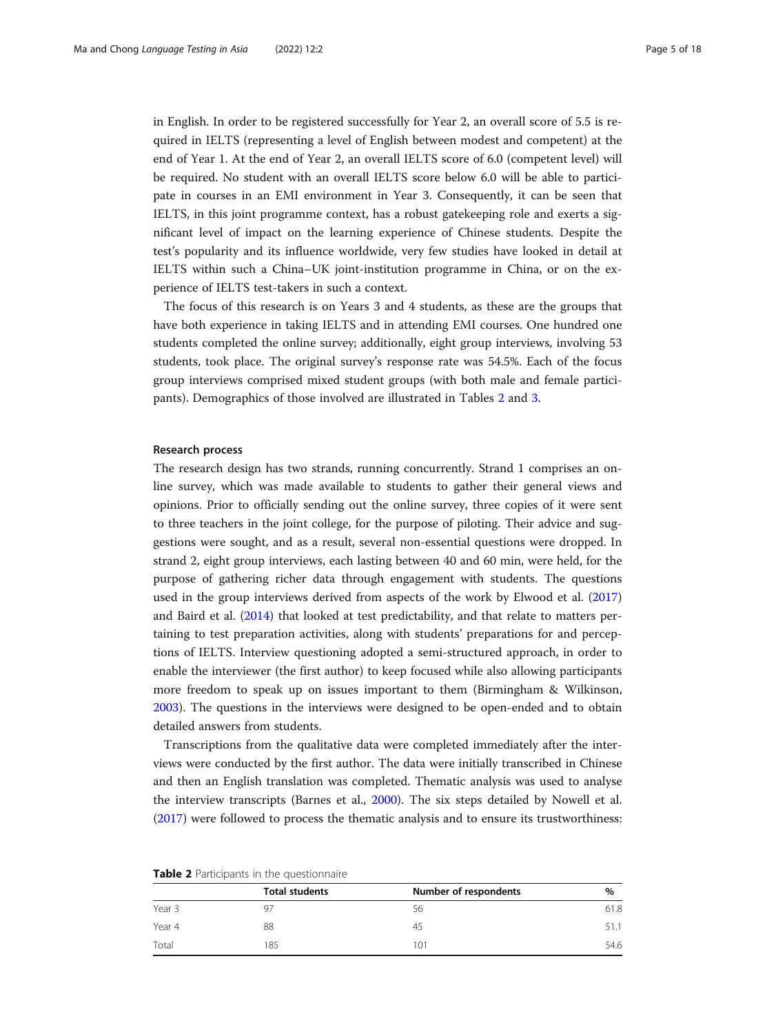in English. In order to be registered successfully for Year 2, an overall score of 5.5 is required in IELTS (representing a level of English between modest and competent) at the end of Year 1. At the end of Year 2, an overall IELTS score of 6.0 (competent level) will be required. No student with an overall IELTS score below 6.0 will be able to participate in courses in an EMI environment in Year 3. Consequently, it can be seen that IELTS, in this joint programme context, has a robust gatekeeping role and exerts a significant level of impact on the learning experience of Chinese students. Despite the test's popularity and its influence worldwide, very few studies have looked in detail at IELTS within such a China–UK joint-institution programme in China, or on the experience of IELTS test-takers in such a context.

The focus of this research is on Years 3 and 4 students, as these are the groups that have both experience in taking IELTS and in attending EMI courses. One hundred one students completed the online survey; additionally, eight group interviews, involving 53 students, took place. The original survey's response rate was 54.5%. Each of the focus group interviews comprised mixed student groups (with both male and female participants). Demographics of those involved are illustrated in Tables 2 and [3](#page-5-0).

#### Research process

The research design has two strands, running concurrently. Strand 1 comprises an online survey, which was made available to students to gather their general views and opinions. Prior to officially sending out the online survey, three copies of it were sent to three teachers in the joint college, for the purpose of piloting. Their advice and suggestions were sought, and as a result, several non-essential questions were dropped. In strand 2, eight group interviews, each lasting between 40 and 60 min, were held, for the purpose of gathering richer data through engagement with students. The questions used in the group interviews derived from aspects of the work by Elwood et al. ([2017](#page-16-0)) and Baird et al. ([2014](#page-16-0)) that looked at test predictability, and that relate to matters pertaining to test preparation activities, along with students' preparations for and perceptions of IELTS. Interview questioning adopted a semi-structured approach, in order to enable the interviewer (the first author) to keep focused while also allowing participants more freedom to speak up on issues important to them (Birmingham & Wilkinson, [2003](#page-16-0)). The questions in the interviews were designed to be open-ended and to obtain detailed answers from students.

Transcriptions from the qualitative data were completed immediately after the interviews were conducted by the first author. The data were initially transcribed in Chinese and then an English translation was completed. Thematic analysis was used to analyse the interview transcripts (Barnes et al., [2000\)](#page-16-0). The six steps detailed by Nowell et al. ([2017](#page-16-0)) were followed to process the thematic analysis and to ensure its trustworthiness:

| <b>TWOICE</b> Farticipants in the question idire |                       |                       |      |  |
|--------------------------------------------------|-----------------------|-----------------------|------|--|
|                                                  | <b>Total students</b> | Number of respondents | $\%$ |  |
| Year 3                                           |                       | 56                    | 61.8 |  |
| Year 4                                           | 88                    | 45                    |      |  |
| Total                                            | 185                   | 101                   | 54.6 |  |

Table 2 Participants in the questionnaire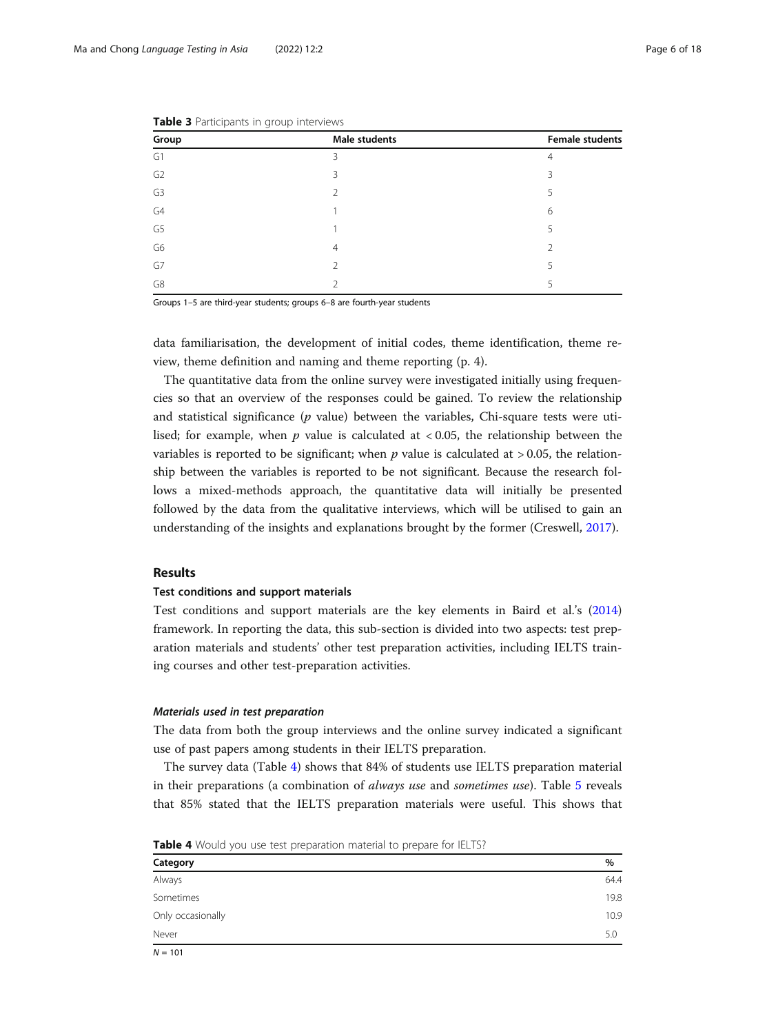| Group          | Male students  | <b>Female students</b> |
|----------------|----------------|------------------------|
| G1             | 3              | $\overline{4}$         |
| G <sub>2</sub> | 3              | 3                      |
| G <sub>3</sub> | $\mathfrak{D}$ | 5                      |
| G4             |                | 6                      |
| G <sub>5</sub> |                | 5                      |
| G6             | $\overline{4}$ | $\mathfrak{D}$         |
| G7             | $\mathfrak{D}$ | 5                      |
| G8             |                | 5                      |

<span id="page-5-0"></span>

|  | Table 3 Participants in group interviews |  |  |
|--|------------------------------------------|--|--|
|--|------------------------------------------|--|--|

Groups 1–5 are third-year students; groups 6–8 are fourth-year students

data familiarisation, the development of initial codes, theme identification, theme review, theme definition and naming and theme reporting (p. 4).

The quantitative data from the online survey were investigated initially using frequencies so that an overview of the responses could be gained. To review the relationship and statistical significance  $(p \text{ value})$  between the variables, Chi-square tests were utilised; for example, when  $p$  value is calculated at  $< 0.05$ , the relationship between the variables is reported to be significant; when  $p$  value is calculated at  $> 0.05$ , the relationship between the variables is reported to be not significant. Because the research follows a mixed-methods approach, the quantitative data will initially be presented followed by the data from the qualitative interviews, which will be utilised to gain an understanding of the insights and explanations brought by the former (Creswell, [2017\)](#page-16-0).

#### Results

#### Test conditions and support materials

Test conditions and support materials are the key elements in Baird et al.'s ([2014](#page-16-0)) framework. In reporting the data, this sub-section is divided into two aspects: test preparation materials and students' other test preparation activities, including IELTS training courses and other test-preparation activities.

#### Materials used in test preparation

The data from both the group interviews and the online survey indicated a significant use of past papers among students in their IELTS preparation.

The survey data (Table 4) shows that 84% of students use IELTS preparation material in their preparations (a combination of always use and sometimes use). Table [5](#page-6-0) reveals that 85% stated that the IELTS preparation materials were useful. This shows that

Table 4 Would you use test preparation material to prepare for IELTS?

| Category          | $\%$ |
|-------------------|------|
| Always            | 64.4 |
| Sometimes         | 19.8 |
| Only occasionally | 10.9 |
| Never             | 5.0  |
| .                 |      |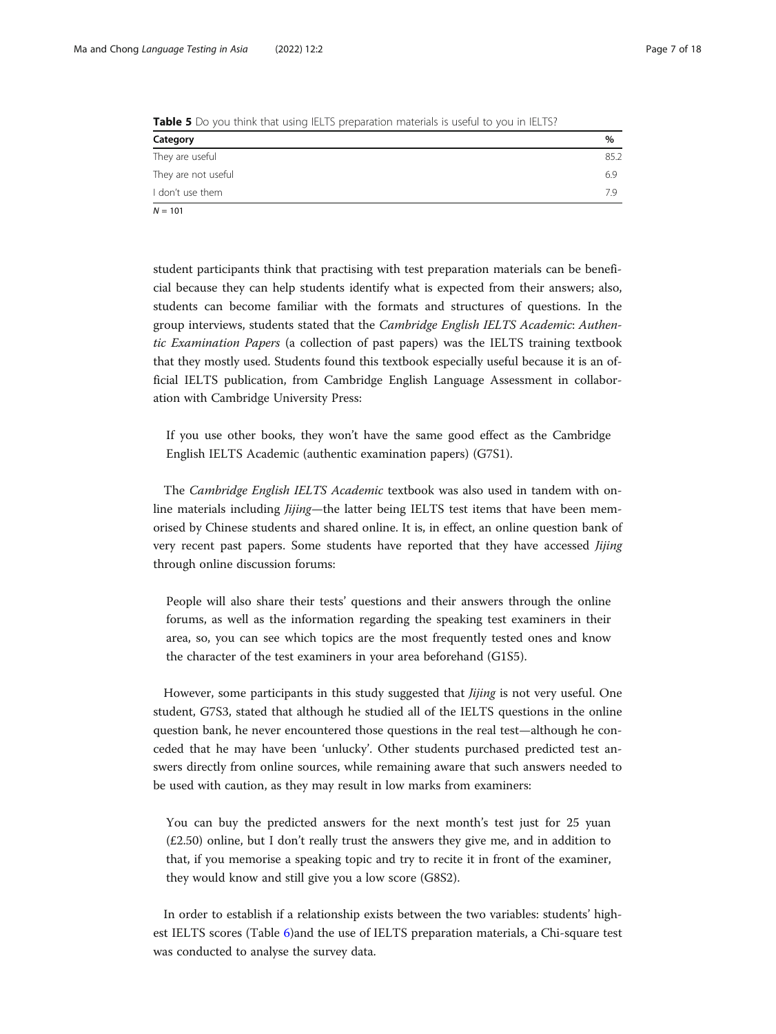<span id="page-6-0"></span>

|  |  |  | <b>Table 5</b> Do you think that using IELTS preparation materials is useful to you in IELTS? |  |  |  |
|--|--|--|-----------------------------------------------------------------------------------------------|--|--|--|
|  |  |  |                                                                                               |  |  |  |

| Category            | %    |
|---------------------|------|
| They are useful     | 85.2 |
| They are not useful | 6.9  |
| I don't use them    | 7.9  |
| $N = 101$           |      |

student participants think that practising with test preparation materials can be beneficial because they can help students identify what is expected from their answers; also, students can become familiar with the formats and structures of questions. In the group interviews, students stated that the Cambridge English IELTS Academic: Authentic Examination Papers (a collection of past papers) was the IELTS training textbook that they mostly used. Students found this textbook especially useful because it is an official IELTS publication, from Cambridge English Language Assessment in collaboration with Cambridge University Press:

If you use other books, they won't have the same good effect as the Cambridge English IELTS Academic (authentic examination papers) (G7S1).

The Cambridge English IELTS Academic textbook was also used in tandem with online materials including *Jijing*—the latter being IELTS test items that have been memorised by Chinese students and shared online. It is, in effect, an online question bank of very recent past papers. Some students have reported that they have accessed *Jijing* through online discussion forums:

People will also share their tests' questions and their answers through the online forums, as well as the information regarding the speaking test examiners in their area, so, you can see which topics are the most frequently tested ones and know the character of the test examiners in your area beforehand (G1S5).

However, some participants in this study suggested that *Jijing* is not very useful. One student, G7S3, stated that although he studied all of the IELTS questions in the online question bank, he never encountered those questions in the real test—although he conceded that he may have been 'unlucky'. Other students purchased predicted test answers directly from online sources, while remaining aware that such answers needed to be used with caution, as they may result in low marks from examiners:

You can buy the predicted answers for the next month's test just for 25 yuan (£2.50) online, but I don't really trust the answers they give me, and in addition to that, if you memorise a speaking topic and try to recite it in front of the examiner, they would know and still give you a low score (G8S2).

In order to establish if a relationship exists between the two variables: students' highest IELTS scores (Table [6\)](#page-7-0)and the use of IELTS preparation materials, a Chi-square test was conducted to analyse the survey data.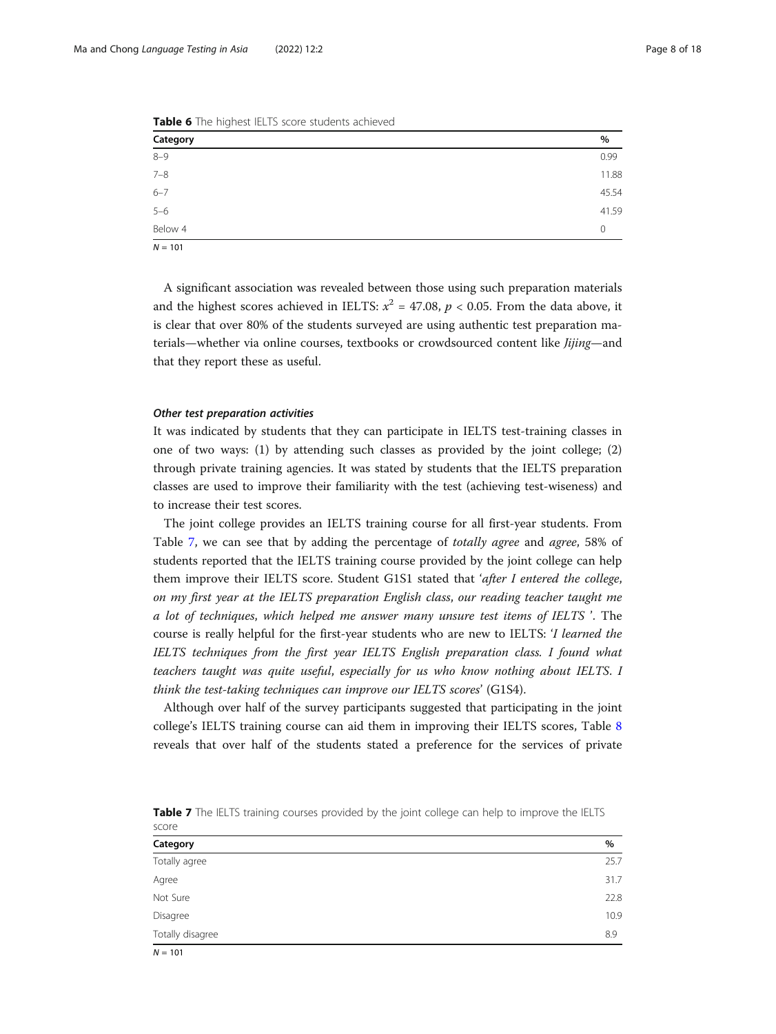| $\overline{\phantom{0}}$ |          |
|--------------------------|----------|
| Category                 | $\%$     |
| $8 - 9$                  | 0.99     |
| $7 - 8$                  | 11.88    |
| $6 - 7$                  | 45.54    |
| $5 - 6$                  | 41.59    |
| Below 4                  | $\Omega$ |
| $N = 101$                |          |

<span id="page-7-0"></span>Table 6 The highest IELTS score students achieved

A significant association was revealed between those using such preparation materials and the highest scores achieved in IELTS:  $x^2 = 47.08$ ,  $p < 0.05$ . From the data above, it is clear that over 80% of the students surveyed are using authentic test preparation materials—whether via online courses, textbooks or crowdsourced content like *Jijing*—and that they report these as useful.

#### Other test preparation activities

It was indicated by students that they can participate in IELTS test-training classes in one of two ways: (1) by attending such classes as provided by the joint college; (2) through private training agencies. It was stated by students that the IELTS preparation classes are used to improve their familiarity with the test (achieving test-wiseness) and to increase their test scores.

The joint college provides an IELTS training course for all first-year students. From Table 7, we can see that by adding the percentage of totally agree and agree, 58% of students reported that the IELTS training course provided by the joint college can help them improve their IELTS score. Student G1S1 stated that 'after I entered the college, on my first year at the IELTS preparation English class, our reading teacher taught me a lot of techniques, which helped me answer many unsure test items of IELTS '. The course is really helpful for the first-year students who are new to IELTS: 'I learned the IELTS techniques from the first year IELTS English preparation class. I found what teachers taught was quite useful, especially for us who know nothing about IELTS. I think the test-taking techniques can improve our IELTS scores' (G1S4).

Although over half of the survey participants suggested that participating in the joint college's IELTS training course can aid them in improving their IELTS scores, Table [8](#page-8-0) reveals that over half of the students stated a preference for the services of private

| <b>PLANE</b>     |      |
|------------------|------|
| Category         | $\%$ |
| Totally agree    | 25.7 |
| Agree            | 31.7 |
| Not Sure         | 22.8 |
| Disagree         | 10.9 |
| Totally disagree | 8.9  |

Table 7 The IELTS training courses provided by the joint college can help to improve the IELTS score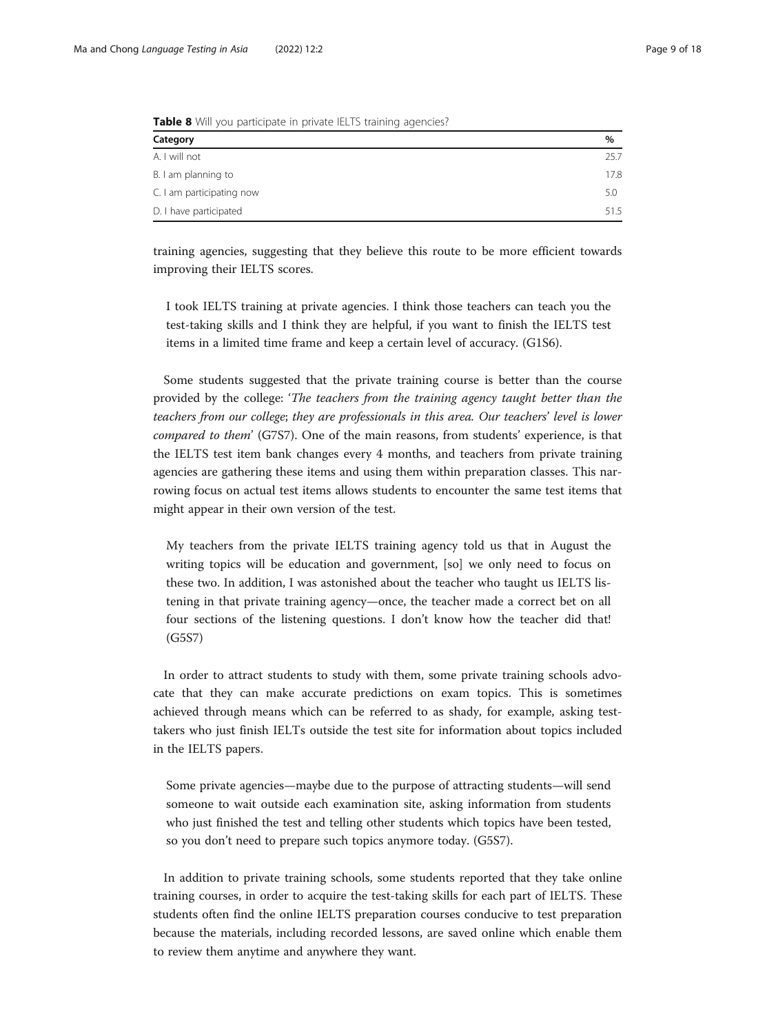| <b>TWATE O</b> Will you purticipate in private recro training agencies. |      |  |
|-------------------------------------------------------------------------|------|--|
| Category                                                                | $\%$ |  |
| A. I will not                                                           | 25.7 |  |
| B. I am planning to                                                     | 17.8 |  |
| C. I am participating now                                               | 5.0  |  |
| D. I have participated                                                  | 51.5 |  |

<span id="page-8-0"></span>Table 8 Will you participate in private IELTS training agencies?

training agencies, suggesting that they believe this route to be more efficient towards improving their IELTS scores.

I took IELTS training at private agencies. I think those teachers can teach you the test-taking skills and I think they are helpful, if you want to finish the IELTS test items in a limited time frame and keep a certain level of accuracy. (G1S6).

Some students suggested that the private training course is better than the course provided by the college: 'The teachers from the training agency taught better than the teachers from our college; they are professionals in this area. Our teachers' level is lower compared to them' (G7S7). One of the main reasons, from students' experience, is that the IELTS test item bank changes every 4 months, and teachers from private training agencies are gathering these items and using them within preparation classes. This narrowing focus on actual test items allows students to encounter the same test items that might appear in their own version of the test.

My teachers from the private IELTS training agency told us that in August the writing topics will be education and government, [so] we only need to focus on these two. In addition, I was astonished about the teacher who taught us IELTS listening in that private training agency—once, the teacher made a correct bet on all four sections of the listening questions. I don't know how the teacher did that! (G5S7)

In order to attract students to study with them, some private training schools advocate that they can make accurate predictions on exam topics. This is sometimes achieved through means which can be referred to as shady, for example, asking testtakers who just finish IELTs outside the test site for information about topics included in the IELTS papers.

Some private agencies—maybe due to the purpose of attracting students—will send someone to wait outside each examination site, asking information from students who just finished the test and telling other students which topics have been tested, so you don't need to prepare such topics anymore today. (G5S7).

In addition to private training schools, some students reported that they take online training courses, in order to acquire the test-taking skills for each part of IELTS. These students often find the online IELTS preparation courses conducive to test preparation because the materials, including recorded lessons, are saved online which enable them to review them anytime and anywhere they want.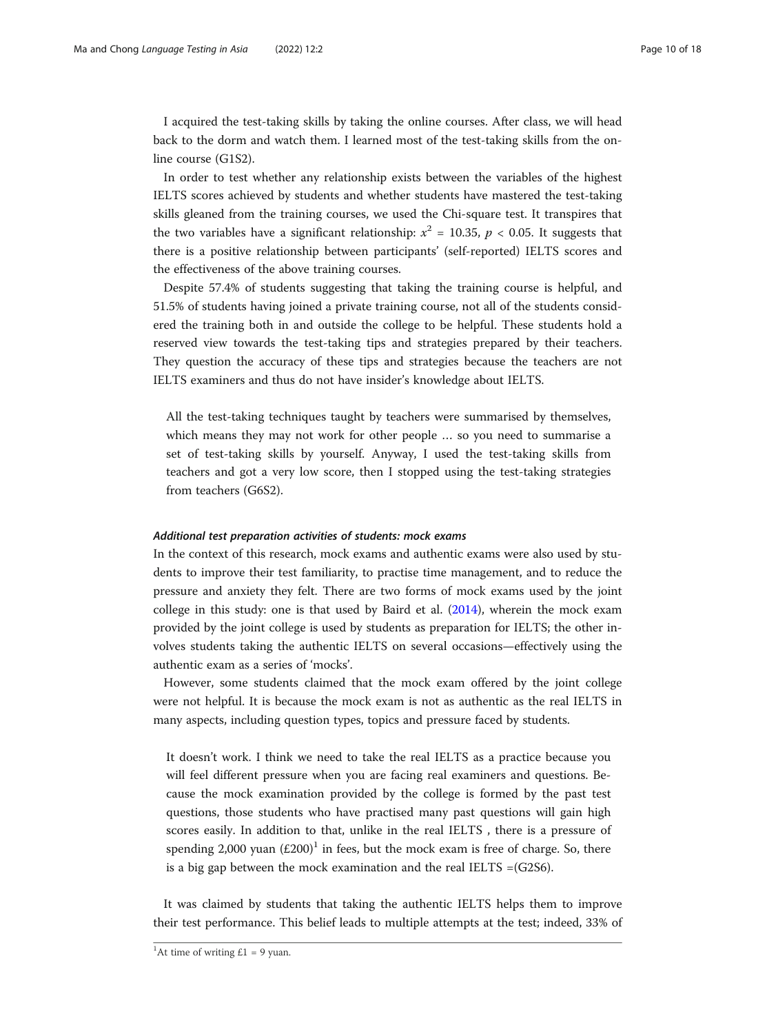I acquired the test-taking skills by taking the online courses. After class, we will head back to the dorm and watch them. I learned most of the test-taking skills from the online course (G1S2).

In order to test whether any relationship exists between the variables of the highest IELTS scores achieved by students and whether students have mastered the test-taking skills gleaned from the training courses, we used the Chi-square test. It transpires that the two variables have a significant relationship:  $x^2 = 10.35$ ,  $p < 0.05$ . It suggests that there is a positive relationship between participants' (self-reported) IELTS scores and the effectiveness of the above training courses.

Despite 57.4% of students suggesting that taking the training course is helpful, and 51.5% of students having joined a private training course, not all of the students considered the training both in and outside the college to be helpful. These students hold a reserved view towards the test-taking tips and strategies prepared by their teachers. They question the accuracy of these tips and strategies because the teachers are not IELTS examiners and thus do not have insider's knowledge about IELTS.

All the test-taking techniques taught by teachers were summarised by themselves, which means they may not work for other people … so you need to summarise a set of test-taking skills by yourself. Anyway, I used the test-taking skills from teachers and got a very low score, then I stopped using the test-taking strategies from teachers (G6S2).

#### Additional test preparation activities of students: mock exams

In the context of this research, mock exams and authentic exams were also used by students to improve their test familiarity, to practise time management, and to reduce the pressure and anxiety they felt. There are two forms of mock exams used by the joint college in this study: one is that used by Baird et al. ([2014\)](#page-16-0), wherein the mock exam provided by the joint college is used by students as preparation for IELTS; the other involves students taking the authentic IELTS on several occasions—effectively using the authentic exam as a series of 'mocks'.

However, some students claimed that the mock exam offered by the joint college were not helpful. It is because the mock exam is not as authentic as the real IELTS in many aspects, including question types, topics and pressure faced by students.

It doesn't work. I think we need to take the real IELTS as a practice because you will feel different pressure when you are facing real examiners and questions. Because the mock examination provided by the college is formed by the past test questions, those students who have practised many past questions will gain high scores easily. In addition to that, unlike in the real IELTS , there is a pressure of spending 2,000 yuan  $(E200)^1$  in fees, but the mock exam is free of charge. So, there is a big gap between the mock examination and the real IELTS =(G2S6).

It was claimed by students that taking the authentic IELTS helps them to improve their test performance. This belief leads to multiple attempts at the test; indeed, 33% of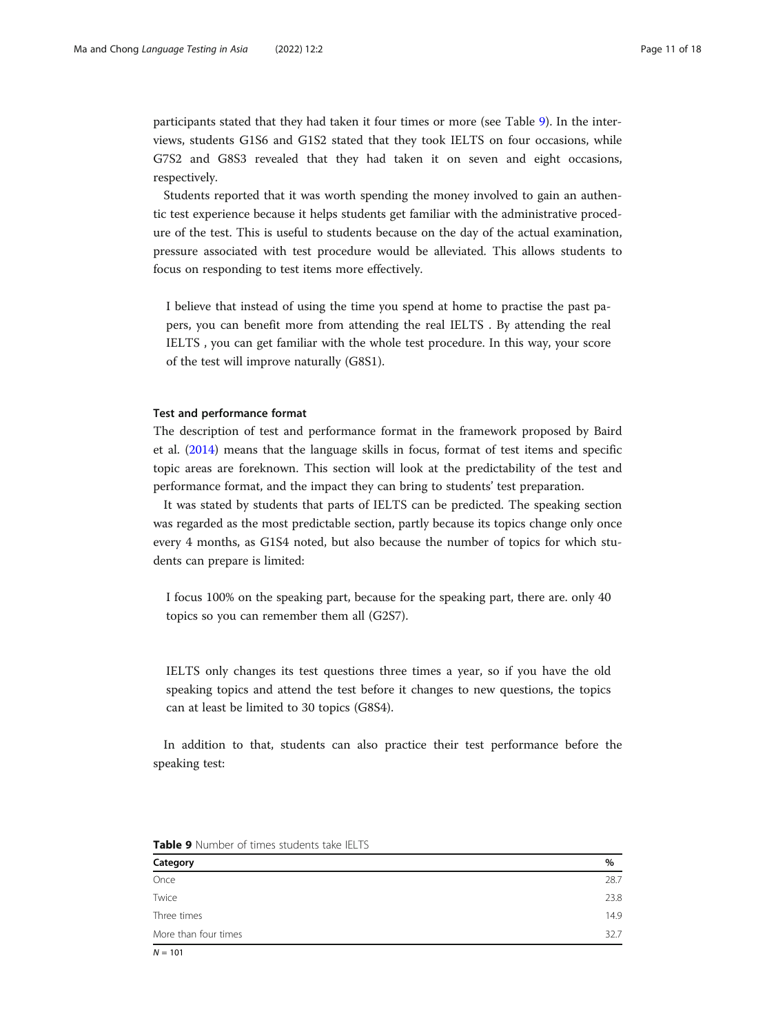participants stated that they had taken it four times or more (see Table 9). In the interviews, students G1S6 and G1S2 stated that they took IELTS on four occasions, while G7S2 and G8S3 revealed that they had taken it on seven and eight occasions, respectively.

Students reported that it was worth spending the money involved to gain an authentic test experience because it helps students get familiar with the administrative procedure of the test. This is useful to students because on the day of the actual examination, pressure associated with test procedure would be alleviated. This allows students to focus on responding to test items more effectively.

I believe that instead of using the time you spend at home to practise the past papers, you can benefit more from attending the real IELTS . By attending the real IELTS , you can get familiar with the whole test procedure. In this way, your score of the test will improve naturally (G8S1).

#### Test and performance format

The description of test and performance format in the framework proposed by Baird et al. [\(2014\)](#page-16-0) means that the language skills in focus, format of test items and specific topic areas are foreknown. This section will look at the predictability of the test and performance format, and the impact they can bring to students' test preparation.

It was stated by students that parts of IELTS can be predicted. The speaking section was regarded as the most predictable section, partly because its topics change only once every 4 months, as G1S4 noted, but also because the number of topics for which students can prepare is limited:

I focus 100% on the speaking part, because for the speaking part, there are. only 40 topics so you can remember them all (G2S7).

IELTS only changes its test questions three times a year, so if you have the old speaking topics and attend the test before it changes to new questions, the topics can at least be limited to 30 topics (G8S4).

In addition to that, students can also practice their test performance before the speaking test:

| Category             | $\%$ |
|----------------------|------|
| Once                 | 28.7 |
| Twice                | 23.8 |
| Three times          | 14.9 |
| More than four times | 32.7 |

Table 9 Number of times students take IFLTS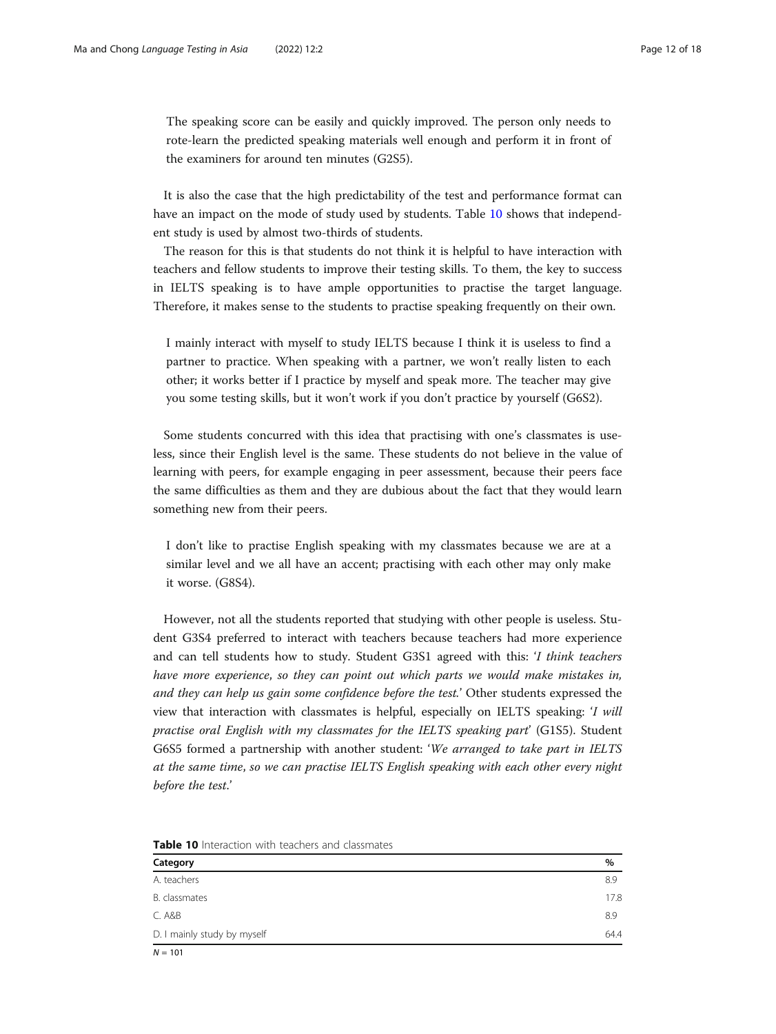The speaking score can be easily and quickly improved. The person only needs to rote-learn the predicted speaking materials well enough and perform it in front of the examiners for around ten minutes (G2S5).

It is also the case that the high predictability of the test and performance format can have an impact on the mode of study used by students. Table 10 shows that independent study is used by almost two-thirds of students.

The reason for this is that students do not think it is helpful to have interaction with teachers and fellow students to improve their testing skills. To them, the key to success in IELTS speaking is to have ample opportunities to practise the target language. Therefore, it makes sense to the students to practise speaking frequently on their own.

I mainly interact with myself to study IELTS because I think it is useless to find a partner to practice. When speaking with a partner, we won't really listen to each other; it works better if I practice by myself and speak more. The teacher may give you some testing skills, but it won't work if you don't practice by yourself (G6S2).

Some students concurred with this idea that practising with one's classmates is useless, since their English level is the same. These students do not believe in the value of learning with peers, for example engaging in peer assessment, because their peers face the same difficulties as them and they are dubious about the fact that they would learn something new from their peers.

I don't like to practise English speaking with my classmates because we are at a similar level and we all have an accent; practising with each other may only make it worse. (G8S4).

However, not all the students reported that studying with other people is useless. Student G3S4 preferred to interact with teachers because teachers had more experience and can tell students how to study. Student G3S1 agreed with this: 'I think teachers have more experience, so they can point out which parts we would make mistakes in, and they can help us gain some confidence before the test.' Other students expressed the view that interaction with classmates is helpful, especially on IELTS speaking: 'I will practise oral English with my classmates for the IELTS speaking part' (G1S5). Student G6S5 formed a partnership with another student: 'We arranged to take part in IELTS at the same time, so we can practise IELTS English speaking with each other every night before the test.'

| Category                    | $\%$ |
|-----------------------------|------|
| A. teachers                 | 8.9  |
| B. classmates               | 17.8 |
| C. A&B                      | 8.9  |
| D. I mainly study by myself | 64.4 |

Table 10 Interaction with teachers and classmates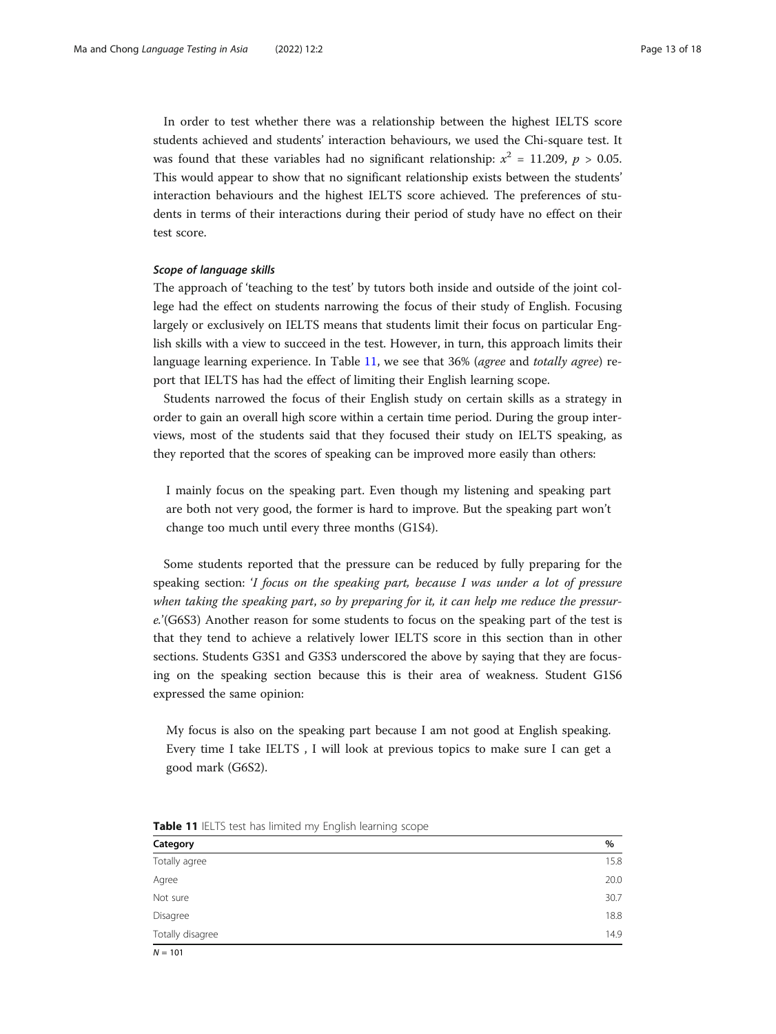In order to test whether there was a relationship between the highest IELTS score students achieved and students' interaction behaviours, we used the Chi-square test. It was found that these variables had no significant relationship:  $x^2 = 11.209$ ,  $p > 0.05$ . This would appear to show that no significant relationship exists between the students' interaction behaviours and the highest IELTS score achieved. The preferences of students in terms of their interactions during their period of study have no effect on their test score.

#### Scope of language skills

The approach of 'teaching to the test' by tutors both inside and outside of the joint college had the effect on students narrowing the focus of their study of English. Focusing largely or exclusively on IELTS means that students limit their focus on particular English skills with a view to succeed in the test. However, in turn, this approach limits their language learning experience. In Table 11, we see that 36% (*agree* and *totally agree*) report that IELTS has had the effect of limiting their English learning scope.

Students narrowed the focus of their English study on certain skills as a strategy in order to gain an overall high score within a certain time period. During the group interviews, most of the students said that they focused their study on IELTS speaking, as they reported that the scores of speaking can be improved more easily than others:

I mainly focus on the speaking part. Even though my listening and speaking part are both not very good, the former is hard to improve. But the speaking part won't change too much until every three months (G1S4).

Some students reported that the pressure can be reduced by fully preparing for the speaking section: 'I focus on the speaking part, because I was under a lot of pressure when taking the speaking part, so by preparing for it, it can help me reduce the pressure.'(G6S3) Another reason for some students to focus on the speaking part of the test is that they tend to achieve a relatively lower IELTS score in this section than in other sections. Students G3S1 and G3S3 underscored the above by saying that they are focusing on the speaking section because this is their area of weakness. Student G1S6 expressed the same opinion:

My focus is also on the speaking part because I am not good at English speaking. Every time I take IELTS , I will look at previous topics to make sure I can get a good mark (G6S2).

| $\sim$<br>$\tilde{\phantom{a}}$ |      |
|---------------------------------|------|
| Category                        | %    |
| Totally agree                   | 15.8 |
| Agree                           | 20.0 |
| Not sure                        | 30.7 |
| Disagree                        | 18.8 |
| Totally disagree                | 14.9 |

Table 11 IELTS test has limited my English learning scope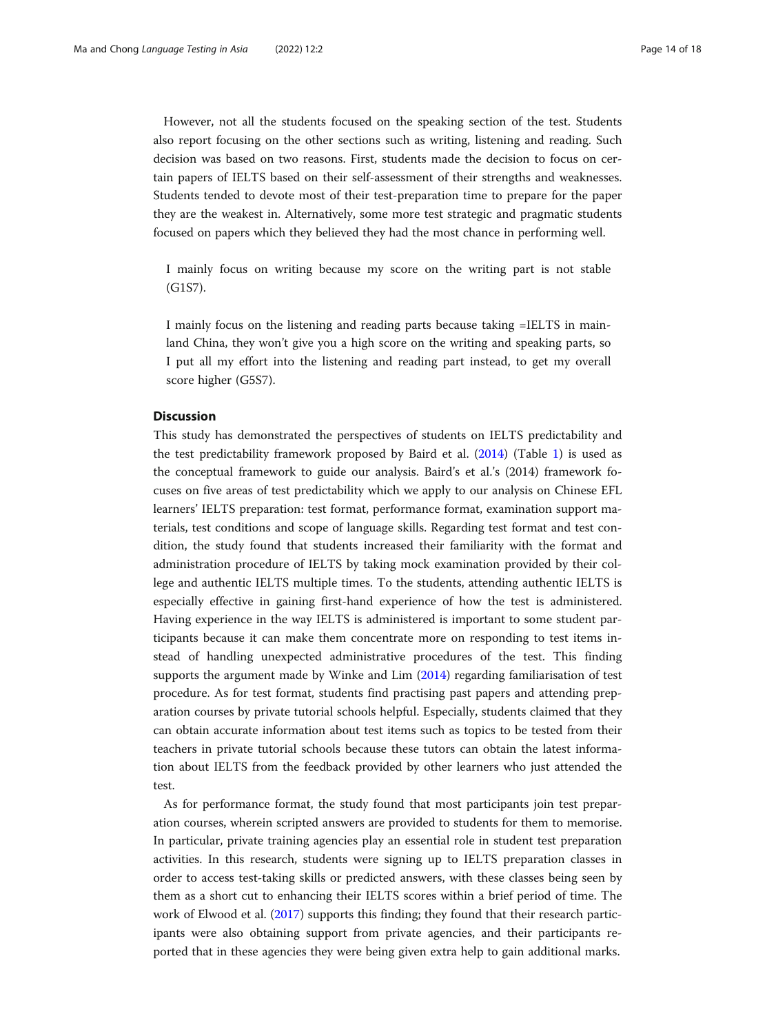However, not all the students focused on the speaking section of the test. Students also report focusing on the other sections such as writing, listening and reading. Such decision was based on two reasons. First, students made the decision to focus on certain papers of IELTS based on their self-assessment of their strengths and weaknesses. Students tended to devote most of their test-preparation time to prepare for the paper they are the weakest in. Alternatively, some more test strategic and pragmatic students focused on papers which they believed they had the most chance in performing well.

I mainly focus on writing because my score on the writing part is not stable (G1S7).

I mainly focus on the listening and reading parts because taking =IELTS in mainland China, they won't give you a high score on the writing and speaking parts, so I put all my effort into the listening and reading part instead, to get my overall score higher (G5S7).

#### **Discussion**

This study has demonstrated the perspectives of students on IELTS predictability and the test predictability framework proposed by Baird et al. [\(2014\)](#page-16-0) (Table [1](#page-3-0)) is used as the conceptual framework to guide our analysis. Baird's et al.'s (2014) framework focuses on five areas of test predictability which we apply to our analysis on Chinese EFL learners' IELTS preparation: test format, performance format, examination support materials, test conditions and scope of language skills. Regarding test format and test condition, the study found that students increased their familiarity with the format and administration procedure of IELTS by taking mock examination provided by their college and authentic IELTS multiple times. To the students, attending authentic IELTS is especially effective in gaining first-hand experience of how the test is administered. Having experience in the way IELTS is administered is important to some student participants because it can make them concentrate more on responding to test items instead of handling unexpected administrative procedures of the test. This finding supports the argument made by Winke and Lim [\(2014\)](#page-17-0) regarding familiarisation of test procedure. As for test format, students find practising past papers and attending preparation courses by private tutorial schools helpful. Especially, students claimed that they can obtain accurate information about test items such as topics to be tested from their teachers in private tutorial schools because these tutors can obtain the latest information about IELTS from the feedback provided by other learners who just attended the test.

As for performance format, the study found that most participants join test preparation courses, wherein scripted answers are provided to students for them to memorise. In particular, private training agencies play an essential role in student test preparation activities. In this research, students were signing up to IELTS preparation classes in order to access test-taking skills or predicted answers, with these classes being seen by them as a short cut to enhancing their IELTS scores within a brief period of time. The work of Elwood et al. ([2017](#page-16-0)) supports this finding; they found that their research participants were also obtaining support from private agencies, and their participants reported that in these agencies they were being given extra help to gain additional marks.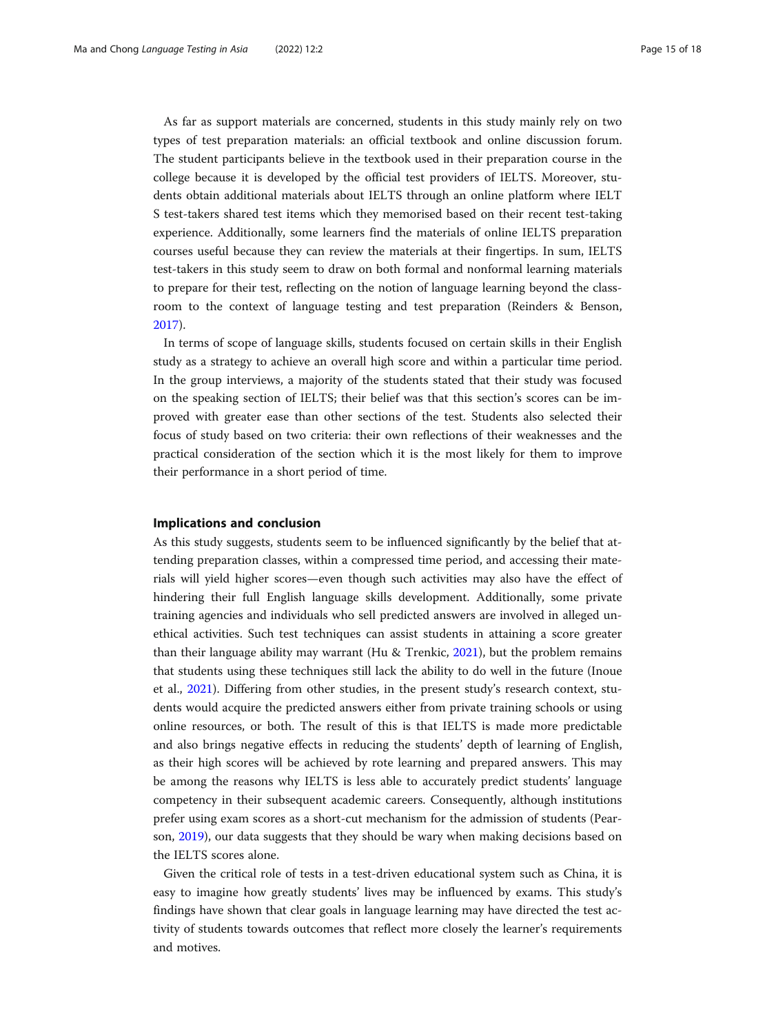As far as support materials are concerned, students in this study mainly rely on two types of test preparation materials: an official textbook and online discussion forum. The student participants believe in the textbook used in their preparation course in the college because it is developed by the official test providers of IELTS. Moreover, students obtain additional materials about IELTS through an online platform where IELT S test-takers shared test items which they memorised based on their recent test-taking experience. Additionally, some learners find the materials of online IELTS preparation courses useful because they can review the materials at their fingertips. In sum, IELTS test-takers in this study seem to draw on both formal and nonformal learning materials to prepare for their test, reflecting on the notion of language learning beyond the classroom to the context of language testing and test preparation (Reinders & Benson, [2017](#page-16-0)).

In terms of scope of language skills, students focused on certain skills in their English study as a strategy to achieve an overall high score and within a particular time period. In the group interviews, a majority of the students stated that their study was focused on the speaking section of IELTS; their belief was that this section's scores can be improved with greater ease than other sections of the test. Students also selected their focus of study based on two criteria: their own reflections of their weaknesses and the practical consideration of the section which it is the most likely for them to improve their performance in a short period of time.

#### Implications and conclusion

As this study suggests, students seem to be influenced significantly by the belief that attending preparation classes, within a compressed time period, and accessing their materials will yield higher scores—even though such activities may also have the effect of hindering their full English language skills development. Additionally, some private training agencies and individuals who sell predicted answers are involved in alleged unethical activities. Such test techniques can assist students in attaining a score greater than their language ability may warrant (Hu & Trenkic, [2021](#page-16-0)), but the problem remains that students using these techniques still lack the ability to do well in the future (Inoue et al., [2021](#page-16-0)). Differing from other studies, in the present study's research context, students would acquire the predicted answers either from private training schools or using online resources, or both. The result of this is that IELTS is made more predictable and also brings negative effects in reducing the students' depth of learning of English, as their high scores will be achieved by rote learning and prepared answers. This may be among the reasons why IELTS is less able to accurately predict students' language competency in their subsequent academic careers. Consequently, although institutions prefer using exam scores as a short-cut mechanism for the admission of students (Pearson, [2019\)](#page-16-0), our data suggests that they should be wary when making decisions based on the IELTS scores alone.

Given the critical role of tests in a test-driven educational system such as China, it is easy to imagine how greatly students' lives may be influenced by exams. This study's findings have shown that clear goals in language learning may have directed the test activity of students towards outcomes that reflect more closely the learner's requirements and motives.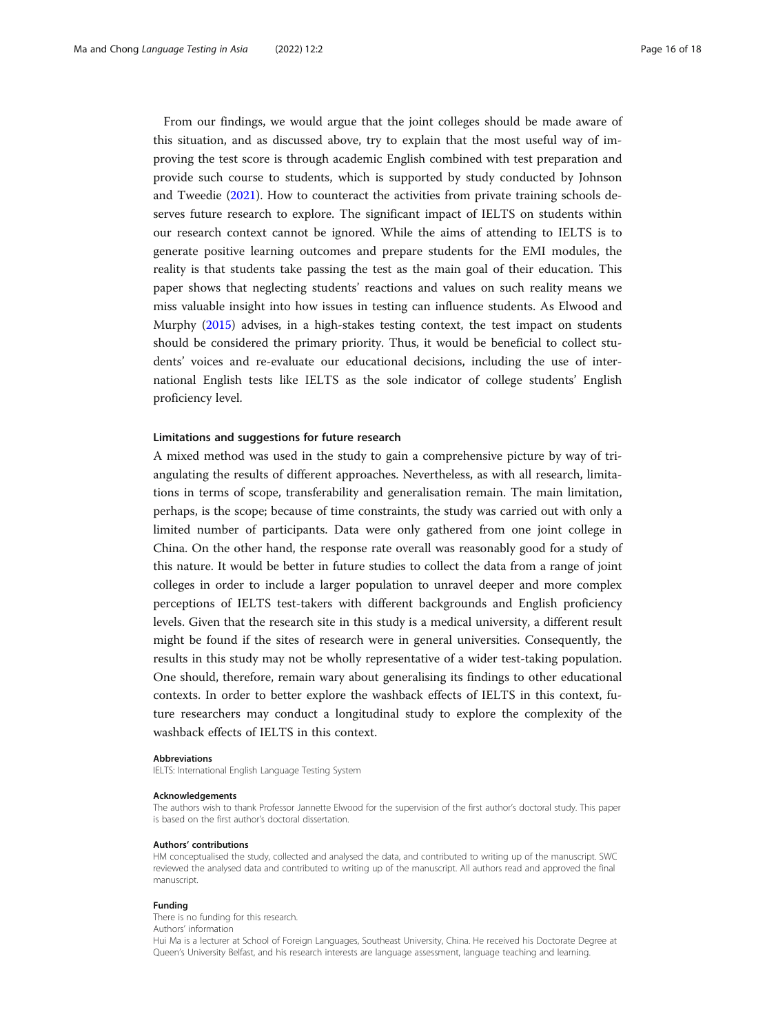From our findings, we would argue that the joint colleges should be made aware of this situation, and as discussed above, try to explain that the most useful way of improving the test score is through academic English combined with test preparation and provide such course to students, which is supported by study conducted by Johnson and Tweedie ([2021](#page-16-0)). How to counteract the activities from private training schools deserves future research to explore. The significant impact of IELTS on students within our research context cannot be ignored. While the aims of attending to IELTS is to generate positive learning outcomes and prepare students for the EMI modules, the reality is that students take passing the test as the main goal of their education. This paper shows that neglecting students' reactions and values on such reality means we miss valuable insight into how issues in testing can influence students. As Elwood and Murphy [\(2015\)](#page-16-0) advises, in a high-stakes testing context, the test impact on students should be considered the primary priority. Thus, it would be beneficial to collect students' voices and re-evaluate our educational decisions, including the use of international English tests like IELTS as the sole indicator of college students' English proficiency level.

#### Limitations and suggestions for future research

A mixed method was used in the study to gain a comprehensive picture by way of triangulating the results of different approaches. Nevertheless, as with all research, limitations in terms of scope, transferability and generalisation remain. The main limitation, perhaps, is the scope; because of time constraints, the study was carried out with only a limited number of participants. Data were only gathered from one joint college in China. On the other hand, the response rate overall was reasonably good for a study of this nature. It would be better in future studies to collect the data from a range of joint colleges in order to include a larger population to unravel deeper and more complex perceptions of IELTS test-takers with different backgrounds and English proficiency levels. Given that the research site in this study is a medical university, a different result might be found if the sites of research were in general universities. Consequently, the results in this study may not be wholly representative of a wider test-taking population. One should, therefore, remain wary about generalising its findings to other educational contexts. In order to better explore the washback effects of IELTS in this context, future researchers may conduct a longitudinal study to explore the complexity of the washback effects of IELTS in this context.

#### Abbreviations

IELTS: International English Language Testing System

#### Acknowledgements

The authors wish to thank Professor Jannette Elwood for the supervision of the first author's doctoral study. This paper is based on the first author's doctoral dissertation.

#### Authors' contributions

HM conceptualised the study, collected and analysed the data, and contributed to writing up of the manuscript. SWC reviewed the analysed data and contributed to writing up of the manuscript. All authors read and approved the final manuscript.

#### Funding

There is no funding for this research. Authors' information

Hui Ma is a lecturer at School of Foreign Languages, Southeast University, China. He received his Doctorate Degree at Queen's University Belfast, and his research interests are language assessment, language teaching and learning.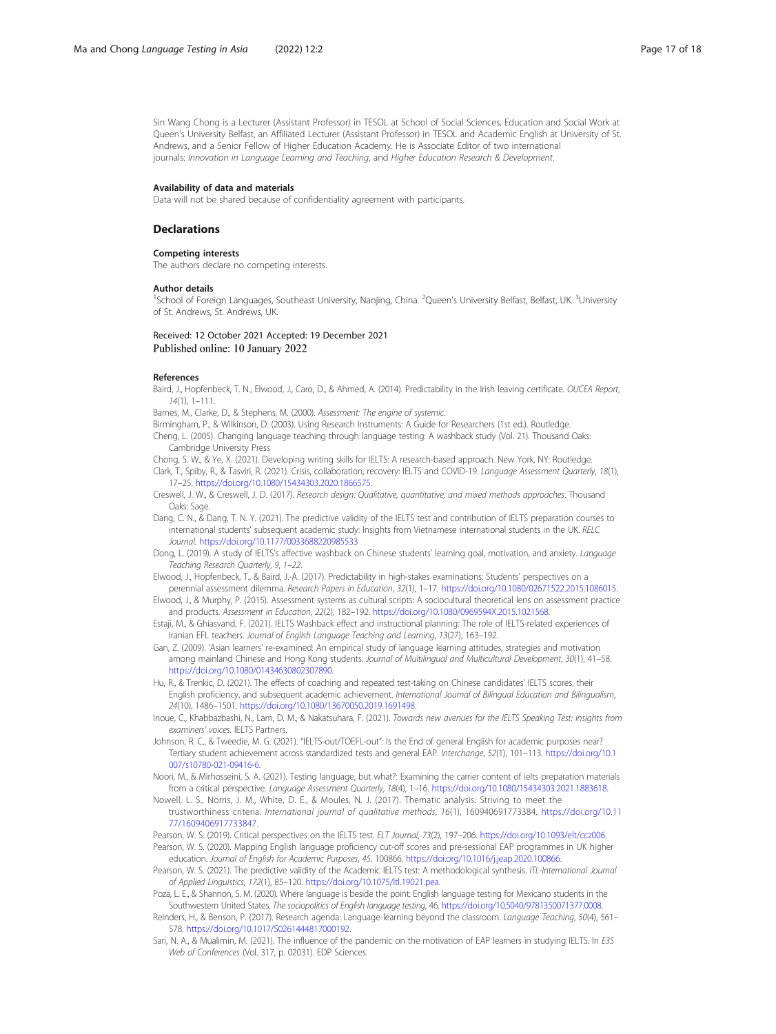<span id="page-16-0"></span>Sin Wang Chong is a Lecturer (Assistant Professor) in TESOL at School of Social Sciences, Education and Social Work at Queen's University Belfast, an Affiliated Lecturer (Assistant Professor) in TESOL and Academic English at University of St. Andrews, and a Senior Fellow of Higher Education Academy. He is Associate Editor of two international journals: Innovation in Language Learning and Teaching, and Higher Education Research & Development.

#### Availability of data and materials

Data will not be shared because of confidentiality agreement with participants.

#### **Declarations**

#### Competing interests

The authors declare no competing interests.

#### Author details

<sup>1</sup>School of Foreign Languages, Southeast University, Nanjing, China. <sup>2</sup>Queen's University Belfast, Belfast, UK. <sup>3</sup>University of St. Andrews, St. Andrews, UK.

Received: 12 October 2021 Accepted: 19 December 2021 Published online: 10 January 2022

#### References

Baird, J., Hopfenbeck, T. N., Elwood, J., Caro, D., & Ahmed, A. (2014). Predictability in the Irish leaving certificate. OUCEA Report,  $14(1)$ , 1–111

Barnes, M., Clarke, D., & Stephens, M. (2000). Assessment: The engine of systemic.

- Birmingham, P., & Wilkinson, D. (2003). Using Research Instruments: A Guide for Researchers (1st ed.). Routledge.
- Cheng, L. (2005). Changing language teaching through language testing: A washback study (Vol. 21). Thousand Oaks: Cambridge University Press

Chong, S. W., & Ye, X. (2021). Developing writing skills for IELTS: A research-based approach. New York, NY: Routledge. Clark, T., Spiby, R., & Tasviri, R. (2021). Crisis, collaboration, recovery: IELTS and COVID-19. Language Assessment Quarterly, 18(1), 17–25. [https://doi.org/10.1080/15434303.2020.1866575.](https://doi.org/10.1080/15434303.2020.1866575)

- Creswell, J. W., & Creswell, J. D. (2017). Research design: Qualitative, quantitative, and mixed methods approaches. Thousand Oaks: Sage.
- Dang, C. N., & Dang, T. N. Y. (2021). The predictive validity of the IELTS test and contribution of IELTS preparation courses to international students' subsequent academic study: Insights from Vietnamese international students in the UK. RELC Journal. <https://doi.org/10.1177/0033688220985533>
- Dong, L. (2019). A study of IELTS's affective washback on Chinese students' learning goal, motivation, and anxiety. Language Teaching Research Quarterly, 9, 1–22.
- Elwood, J., Hopfenbeck, T., & Baird, J.-A. (2017). Predictability in high-stakes examinations: Students' perspectives on a
- perennial assessment dilemma. Research Papers in Education, 32(1), 1–17. <https://doi.org/10.1080/02671522.2015.1086015>. Elwood, J., & Murphy, P. (2015). Assessment systems as cultural scripts: A sociocultural theoretical lens on assessment practice and products. Assessment in Education, 22(2), 182–192. <https://doi.org/10.1080/0969594X.2015.1021568>.
- Estaji, M., & Ghiasvand, F. (2021). IELTS Washback effect and instructional planning: The role of IELTS-related experiences of Iranian EFL teachers. Journal of English Language Teaching and Learning, 13(27), 163–192.
- Gan, Z. (2009). 'Asian learners' re-examined: An empirical study of language learning attitudes, strategies and motivation among mainland Chinese and Hong Kong students. Journal of Multilingual and Multicultural Development, 30(1), 41–58. [https://doi.org/10.1080/01434630802307890.](https://doi.org/10.1080/01434630802307890)
- Hu, R., & Trenkic, D. (2021). The effects of coaching and repeated test-taking on Chinese candidates' IELTS scores, their English proficiency, and subsequent academic achievement. International Journal of Bilingual Education and Bilingualism, 24(10), 1486–1501. [https://doi.org/10.1080/13670050.2019.1691498.](https://doi.org/10.1080/13670050.2019.1691498)
- Inoue, C., Khabbazbashi, N., Lam, D. M., & Nakatsuhara, F. (2021). Towards new avenues for the IELTS Speaking Test: insights from examiners' voices. IELTS Partners.
- Johnson, R. C., & Tweedie, M. G. (2021). "IELTS-out/TOEFL-out": Is the End of general English for academic purposes near? Tertiary student achievement across standardized tests and general EAP. Interchange, 52(1), 101–113. [https://doi.org/10.1](https://doi.org/10.1007/s10780-021-09416-6) [007/s10780-021-09416-6.](https://doi.org/10.1007/s10780-021-09416-6)
- Noori, M., & Mirhosseini, S. A. (2021). Testing language, but what?: Examining the carrier content of ielts preparation materials from a critical perspective. Language Assessment Quarterly, 18(4), 1–16. [https://doi.org/10.1080/15434303.2021.1883618.](https://doi.org/10.1080/15434303.2021.1883618)
- Nowell, L. S., Norris, J. M., White, D. E., & Moules, N. J. (2017). Thematic analysis: Striving to meet the trustworthiness criteria. International journal of qualitative methods, 16(1), 160940691773384. [https://doi.org/10.11](https://doi.org/10.1177/1609406917733847) [77/1609406917733847](https://doi.org/10.1177/1609406917733847).
- Pearson, W. S. (2019). Critical perspectives on the IELTS test. ELT Journal, 73(2), 197–206. [https://doi.org/10.1093/elt/ccz006.](https://doi.org/10.1093/elt/ccz006)
- Pearson, W. S. (2020). Mapping English language proficiency cut-off scores and pre-sessional EAP programmes in UK higher education. Journal of English for Academic Purposes, 45, 100866. <https://doi.org/10.1016/j.jeap.2020.100866>.
- Pearson, W. S. (2021). The predictive validity of the Academic IELTS test: A methodological synthesis. ITL-International Journal of Applied Linguistics, 172(1), 85–120. [https://doi.org/10.1075/itl.19021.pea.](https://doi.org/10.1075/itl.19021.pea)
- Poza, L. E., & Shannon, S. M. (2020). Where language is beside the point: English language testing for Mexicano students in the Southwestern United States. The sociopolitics of English language testing, 46. [https://doi.org/10.5040/9781350071377.0008.](https://doi.org/10.5040/9781350071377.0008)
- Reinders, H., & Benson, P. (2017). Research agenda: Language learning beyond the classroom. Language Teaching, 50(4), 561– 578. <https://doi.org/10.1017/S0261444817000192>.
- Sari, N. A., & Mualimin, M. (2021). The influence of the pandemic on the motivation of EAP learners in studying IELTS. In E3S Web of Conferences (Vol. 317, p. 02031). EDP Sciences.